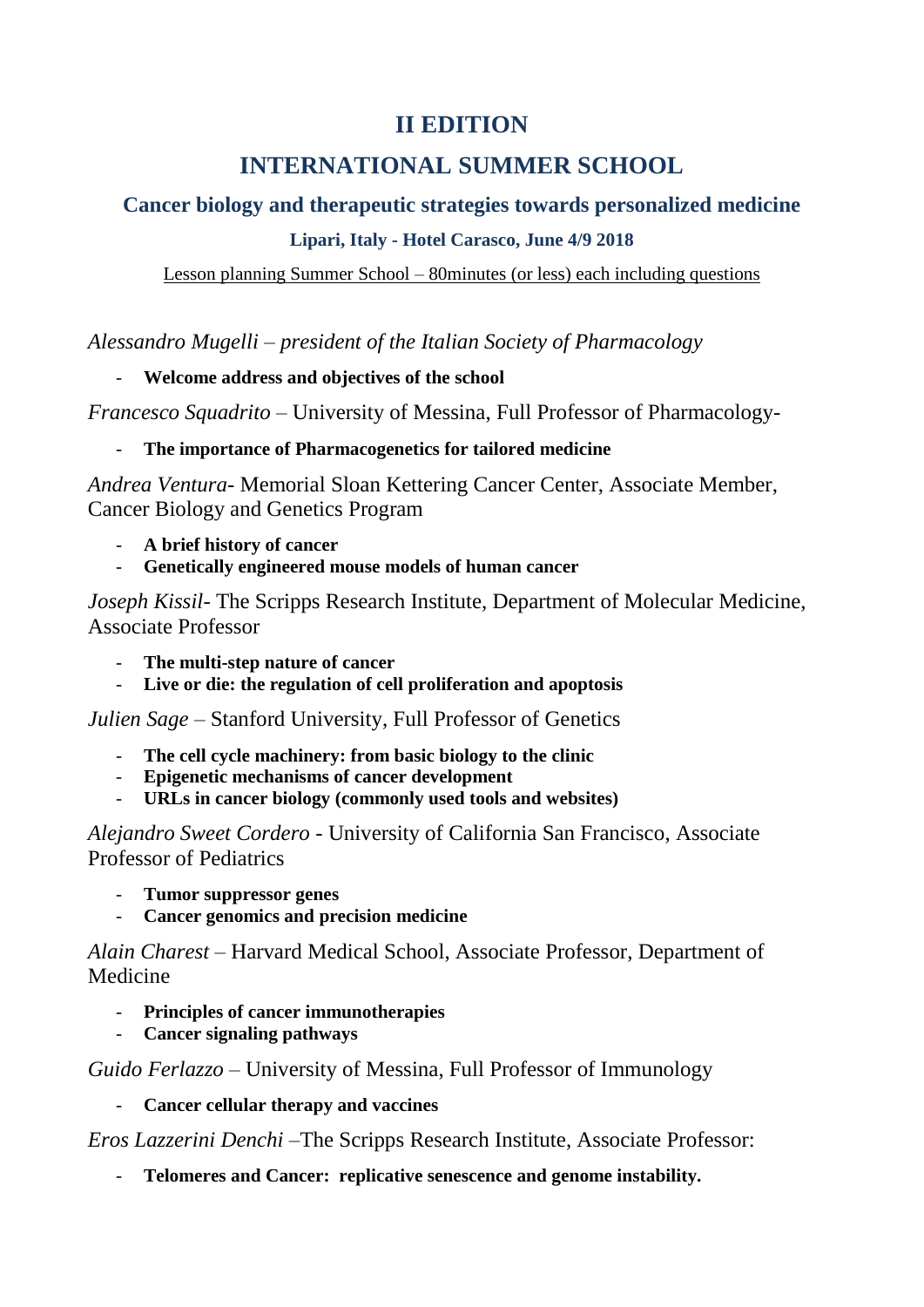## **II EDITION**

# **INTERNATIONAL SUMMER SCHOOL**

### **Cancer biology and therapeutic strategies towards personalized medicine**

### **Lipari, Italy - Hotel Carasco, June 4/9 2018**

Lesson planning Summer School – 80minutes (or less) each including questions

*Alessandro Mugelli – president of the Italian Society of Pharmacology*

#### - **Welcome address and objectives of the school**

*Francesco Squadrito* – University of Messina, Full Professor of Pharmacology-

### - **The importance of Pharmacogenetics for tailored medicine**

*Andrea Ventura*- Memorial Sloan Kettering Cancer Center, Associate Member, Cancer Biology and Genetics Program

- **A brief history of cancer**
- **Genetically engineered mouse models of human cancer**

*Joseph Kissil-* The Scripps Research Institute, Department of Molecular Medicine, Associate Professor

- **The multi-step nature of cancer**
- **Live or die: the regulation of cell proliferation and apoptosis**

*Julien Sage* – Stanford University, Full Professor of Genetics

- **The cell cycle machinery: from basic biology to the clinic**
- **Epigenetic mechanisms of cancer development**
- **URLs in cancer biology (commonly used tools and websites)**

*Alejandro Sweet Cordero* - University of California San Francisco, Associate Professor of Pediatrics

- **Tumor suppressor genes**
- **Cancer genomics and precision medicine**

*Alain Charest* – Harvard Medical School, Associate Professor, Department of Medicine

- **Principles of cancer immunotherapies**
- **Cancer signaling pathways**

*Guido Ferlazzo* – University of Messina, Full Professor of Immunology

- **Cancer cellular therapy and vaccines**

*Eros Lazzerini Denchi* –The Scripps Research Institute, Associate Professor:

- **Telomeres and Cancer: replicative senescence and genome instability.**